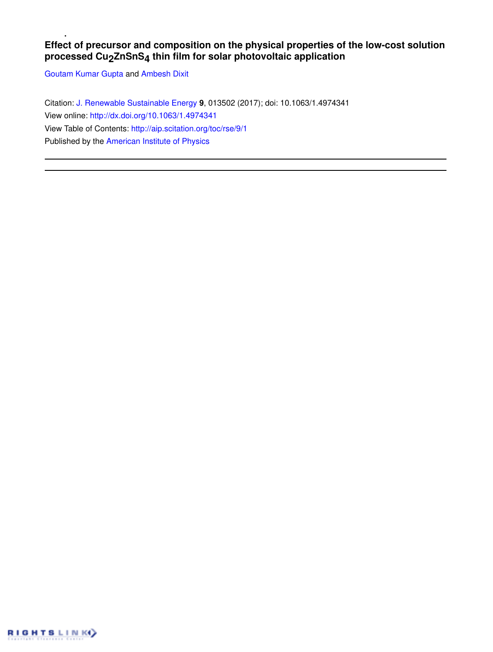# **Effect of precursor and composition on the physical properties of the low-cost solution processed Cu2ZnSnS4 thin film for solar photovoltaic application**

Goutam Kumar Gupta and Ambesh Dixit

Citation: J. Renewable Sustainable Energy **9**, 013502 (2017); doi: 10.1063/1.4974341 View online: http://dx.doi.org/10.1063/1.4974341 View Table of Contents: http://aip.scitation.org/toc/rse/9/1 Published by the American Institute of Physics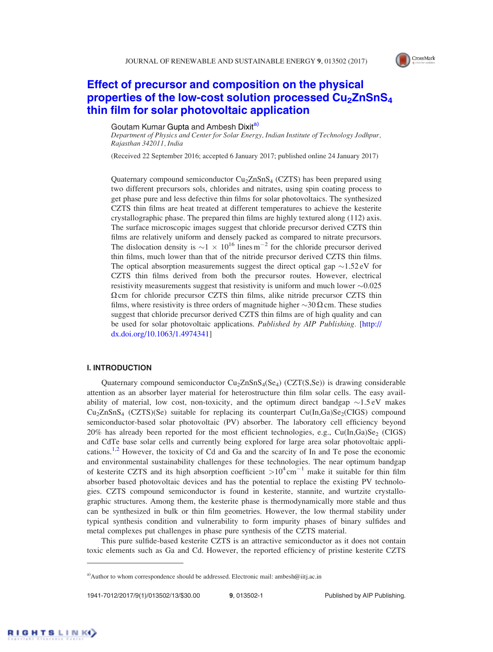

# Effect of precursor and composition on the physical properties of the low-cost solution processed  $Cu<sub>2</sub>ZnSnS<sub>4</sub>$ thin film for solar photovoltaic application

# Goutam Kumar Gupta and Ambesh Dixita)

Department of Physics and Center for Solar Energy, Indian Institute of Technology Jodhpur, Rajasthan 342011, India

(Received 22 September 2016; accepted 6 January 2017; published online 24 January 2017)

Quaternary compound semiconductor Cu<sub>2</sub>ZnSnS<sub>4</sub> (CZTS) has been prepared using two different precursors sols, chlorides and nitrates, using spin coating process to get phase pure and less defective thin films for solar photovoltaics. The synthesized CZTS thin films are heat treated at different temperatures to achieve the kesterite crystallographic phase. The prepared thin films are highly textured along (112) axis. The surface microscopic images suggest that chloride precursor derived CZTS thin films are relatively uniform and densely packed as compared to nitrate precursors. The dislocation density is  $\sim$  1  $\times$  10<sup>16</sup> lines m<sup>-2</sup> for the chloride precursor derived thin films, much lower than that of the nitride precursor derived CZTS thin films. The optical absorption measurements suggest the direct optical gap  $\sim$ 1.52 eV for CZTS thin films derived from both the precursor routes. However, electrical resistivity measurements suggest that resistivity is uniform and much lower  $\sim 0.025$  $\Omega$  cm for chloride precursor CZTS thin films, alike nitride precursor CZTS thin films, where resistivity is three orders of magnitude higher  $\sim$ 30  $\Omega$  cm. These studies suggest that chloride precursor derived CZTS thin films are of high quality and can be used for solar photovoltaic applications. Published by AIP Publishing. [http:// dx.doi.org/10.1063/1.4974341]

## I. INTRODUCTION

Quaternary compound semiconductor Cu<sub>2</sub>ZnSnS<sub>4</sub>(Se<sub>4</sub>) (CZT(S,Se)) is drawing considerable attention as an absorber layer material for heterostructure thin film solar cells. The easy availability of material, low cost, non-toxicity, and the optimum direct bandgap  $\sim 1.5 \text{ eV}$  makes  $Cu<sub>2</sub>ZnSnS<sub>4</sub>$  (CZTS)(Se) suitable for replacing its counterpart Cu(In,Ga)Se<sub>2</sub>(CIGS) compound semiconductor-based solar photovoltaic (PV) absorber. The laboratory cell efficiency beyond 20% has already been reported for the most efficient technologies, e.g.,  $Cu(In, Ga)Se_2$  (CIGS) and CdTe base solar cells and currently being explored for large area solar photovoltaic applications.<sup>1,2</sup> However, the toxicity of Cd and Ga and the scarcity of In and Te pose the economic and environmental sustainability challenges for these technologies. The near optimum bandgap of kesterite CZTS and its high absorption coefficient  $>10^4$  cm<sup>-1</sup> make it suitable for thin film absorber based photovoltaic devices and has the potential to replace the existing PV technologies. CZTS compound semiconductor is found in kesterite, stannite, and wurtzite crystallographic structures. Among them, the kesterite phase is thermodynamically more stable and thus can be synthesized in bulk or thin film geometries. However, the low thermal stability under typical synthesis condition and vulnerability to form impurity phases of binary sulfides and metal complexes put challenges in phase pure synthesis of the CZTS material.

This pure sulfide-based kesterite CZTS is an attractive semiconductor as it does not contain toxic elements such as Ga and Cd. However, the reported efficiency of pristine kesterite CZTS

<sup>&</sup>lt;sup>a)</sup>Author to whom correspondence should be addressed. Electronic mail: ambesh@iitj.ac.in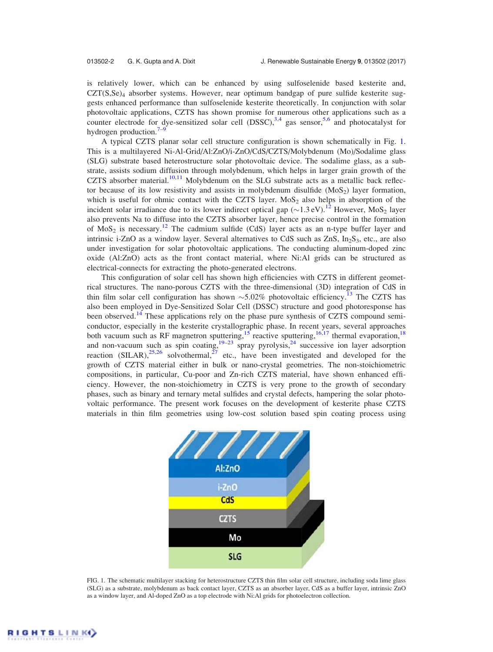is relatively lower, which can be enhanced by using sulfoselenide based kesterite and,  $CZT(S,Se)_4$  absorber systems. However, near optimum bandgap of pure sulfide kesterite suggests enhanced performance than sulfoselenide kesterite theoretically. In conjunction with solar photovoltaic applications, CZTS has shown promise for numerous other applications such as a counter electrode for dye-sensitized solar cell  $(DSSC)$ ,  $3,4$  gas sensor,  $5,6$  and photocatalyst for hydrogen production.<sup>7–9</sup>

A typical CZTS planar solar cell structure configuration is shown schematically in Fig. 1. This is a multilayered Ni-Al-Grid/Al:ZnO/i-ZnO/CdS/CZTS/Molybdenum (Mo)/Sodalime glass (SLG) substrate based heterostructure solar photovoltaic device. The sodalime glass, as a substrate, assists sodium diffusion through molybdenum, which helps in larger grain growth of the CZTS absorber material.<sup>10,11</sup> Molybdenum on the SLG substrate acts as a metallic back reflector because of its low resistivity and assists in molybdenum disulfide  $(MoS<sub>2</sub>)$  layer formation, which is useful for ohmic contact with the CZTS layer. MoS<sub>2</sub> also helps in absorption of the incident solar irradiance due to its lower indirect optical gap  $(\sim 1.3 \text{ eV})$ .<sup>12</sup> However, MoS<sub>2</sub> layer also prevents Na to diffuse into the CZTS absorber layer, hence precise control in the formation of  $MoS<sub>2</sub>$  is necessary.<sup>12</sup> The cadmium sulfide (CdS) layer acts as an n-type buffer layer and intrinsic i-ZnO as a window layer. Several alternatives to CdS such as ZnS,  $In_2S_3$ , etc., are also under investigation for solar photovoltaic applications. The conducting aluminum-doped zinc oxide (Al:ZnO) acts as the front contact material, where Ni:Al grids can be structured as electrical-connects for extracting the photo-generated electrons.

This configuration of solar cell has shown high efficiencies with CZTS in different geometrical structures. The nano-porous CZTS with the three-dimensional (3D) integration of CdS in thin film solar cell configuration has shown  $\sim$  5.02% photovoltaic efficiency.<sup>13</sup> The CZTS has also been employed in Dye-Sensitized Solar Cell (DSSC) structure and good photoresponse has been observed.<sup>14</sup> These applications rely on the phase pure synthesis of CZTS compound semiconductor, especially in the kesterite crystallographic phase. In recent years, several approaches both vacuum such as RF magnetron sputtering,<sup>15</sup> reactive sputtering,<sup>16,17</sup> thermal evaporation,<sup>18</sup> and non-vacuum such as spin coating,  $19-23$  spray pyrolysis,  $24$  successive ion layer adsorption reaction (SILAR),<sup>25,26</sup> solvothermal,<sup>27</sup> etc., have been investigated and developed for the growth of CZTS material either in bulk or nano-crystal geometries. The non-stoichiometric compositions, in particular, Cu-poor and Zn-rich CZTS material, have shown enhanced efficiency. However, the non-stoichiometry in CZTS is very prone to the growth of secondary phases, such as binary and ternary metal sulfides and crystal defects, hampering the solar photovoltaic performance. The present work focuses on the development of kesterite phase CZTS materials in thin film geometries using low-cost solution based spin coating process using



FIG. 1. The schematic multilayer stacking for heterostructure CZTS thin film solar cell structure, including soda lime glass (SLG) as a substrate, molybdenum as back contact layer, CZTS as an absorber layer, CdS as a buffer layer, intrinsic ZnO as a window layer, and Al-doped ZnO as a top electrode with Ni:Al grids for photoelectron collection.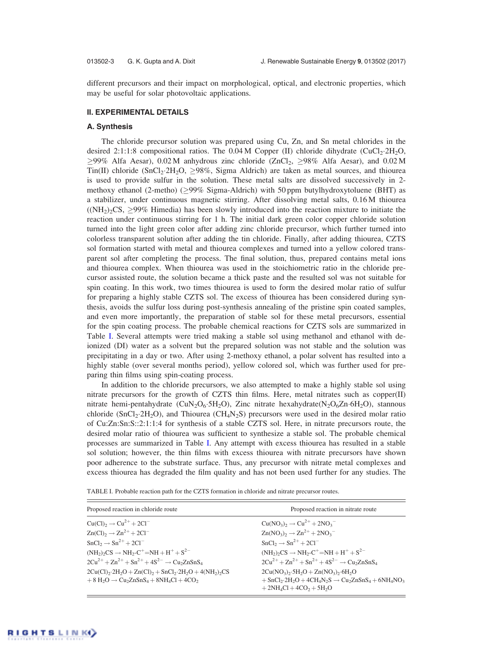different precursors and their impact on morphological, optical, and electronic properties, which may be useful for solar photovoltaic applications.

# II. EXPERIMENTAL DETAILS

### A. Synthesis

The chloride precursor solution was prepared using Cu, Zn, and Sn metal chlorides in the desired 2:1:1:8 compositional ratios. The  $0.04$  M Copper (II) chloride dihydrate (CuCl<sub>2</sub>·2H<sub>2</sub>O,  $\geq$ 99% Alfa Aesar), 0.02 M anhydrous zinc chloride (ZnCl<sub>2</sub>,  $\geq$ 98% Alfa Aesar), and 0.02 M Tin(II) chloride (SnCl<sub>2</sub>·2H<sub>2</sub>O,  $\geq$ 98%, Sigma Aldrich) are taken as metal sources, and thiourea is used to provide sulfur in the solution. These metal salts are dissolved successively in 2 methoxy ethanol (2-metho) ( $\geq$ 99% Sigma-Aldrich) with 50 ppm butylhydroxytoluene (BHT) as a stabilizer, under continuous magnetic stirring. After dissolving metal salts, 0.16 M thiourea  $((NH<sub>2</sub>)<sub>2</sub>CS, \geq)9\%$  Himedia) has been slowly introduced into the reaction mixture to initiate the reaction under continuous stirring for 1 h. The initial dark green color copper chloride solution turned into the light green color after adding zinc chloride precursor, which further turned into colorless transparent solution after adding the tin chloride. Finally, after adding thiourea, CZTS sol formation started with metal and thiourea complexes and turned into a yellow colored transparent sol after completing the process. The final solution, thus, prepared contains metal ions and thiourea complex. When thiourea was used in the stoichiometric ratio in the chloride precursor assisted route, the solution became a thick paste and the resulted sol was not suitable for spin coating. In this work, two times thiourea is used to form the desired molar ratio of sulfur for preparing a highly stable CZTS sol. The excess of thiourea has been considered during synthesis, avoids the sulfur loss during post-synthesis annealing of the pristine spin coated samples, and even more importantly, the preparation of stable sol for these metal precursors, essential for the spin coating process. The probable chemical reactions for CZTS sols are summarized in Table I. Several attempts were tried making a stable sol using methanol and ethanol with deionized (DI) water as a solvent but the prepared solution was not stable and the solution was precipitating in a day or two. After using 2-methoxy ethanol, a polar solvent has resulted into a highly stable (over several months period), yellow colored sol, which was further used for preparing thin films using spin-coating process.

In addition to the chloride precursors, we also attempted to make a highly stable sol using nitrate precursors for the growth of CZTS thin films. Here, metal nitrates such as copper(II) nitrate hemi-pentahydrate (CuN<sub>2</sub>O<sub>6</sub>.5H<sub>2</sub>O), Zinc nitrate hexahydrate(N<sub>2</sub>O<sub>6</sub>Zn $\cdot$ 6H<sub>2</sub>O), stannous chloride (SnCl<sub>2</sub>.2H<sub>2</sub>O), and Thiourea (CH<sub>4</sub>N<sub>2</sub>S) precursors were used in the desired molar ratio of Cu:Zn:Sn:S::2:1:1:4 for synthesis of a stable CZTS sol. Here, in nitrate precursors route, the desired molar ratio of thiourea was sufficient to synthesize a stable sol. The probable chemical processes are summarized in Table I. Any attempt with excess thiourea has resulted in a stable sol solution; however, the thin films with excess thiourea with nitrate precursors have shown poor adherence to the substrate surface. Thus, any precursor with nitrate metal complexes and excess thiourea has degraded the film quality and has not been used further for any studies. The

| Proposed reaction in chloride route                                                                                                                                                                    | Proposed reaction in nitrate route                                                                                                                                                                                                                    |
|--------------------------------------------------------------------------------------------------------------------------------------------------------------------------------------------------------|-------------------------------------------------------------------------------------------------------------------------------------------------------------------------------------------------------------------------------------------------------|
| $Cu(Cl)_{2} \rightarrow Cu^{2+} + 2Cl^{-}$                                                                                                                                                             | $Cu(NO_3)$ <sub>2</sub> $\rightarrow Cu^{2+} + 2NO_3$                                                                                                                                                                                                 |
| $Zn(Cl)2 \rightarrow Zn2+ + 2Cl-$                                                                                                                                                                      | $Zn(NO_3)_2 \rightarrow Zn^{2+} + 2NO_3$                                                                                                                                                                                                              |
| $SnCl2 \rightarrow Sn2+ + 2Cl-$                                                                                                                                                                        | $SnCl2 \rightarrow Sn2+ + 2Cl-$                                                                                                                                                                                                                       |
| $(NH_2)_2CS \rightarrow NH_2-C^+=NH + H^+ + S^{2-}$                                                                                                                                                    | $(NH_2) \circ CS \rightarrow NH_2 \cdot C^+ = NH + H^+ + S^{2-}$                                                                                                                                                                                      |
| $2Cu^{2+} + Zn^{2+} + Sn^{2+} + 4S^{2-} \rightarrow Cu_2ZnSnS_4$                                                                                                                                       | $2Cu^{2+} + Zn^{2+} + Sn^{2+} + 4S^{2-} \rightarrow Cu_2ZnSnS_4$                                                                                                                                                                                      |
| $2Cu(Cl)_{2} \cdot 2H_{2}O + Zn(Cl)_{2} + SnCl_{2} \cdot 2H_{2}O + 4(NH_{2})_{2}CS$<br>$+8$ H <sub>2</sub> O $\rightarrow$ Cu <sub>2</sub> ZnSnS <sub>4</sub> + 8NH <sub>4</sub> Cl + 4CO <sub>2</sub> | $2Cu(NO_3)_{2} \cdot 5H_2O + Zn(NO_3)_{2} \cdot 6H_2O$<br>$+$ SnCl <sub>2</sub> ·2H <sub>2</sub> O + 4CH <sub>4</sub> N <sub>2</sub> S $\rightarrow$ Cu <sub>2</sub> ZnSnS <sub>4</sub> + 6NH <sub>4</sub> NO <sub>3</sub><br>$+2NH4Cl + 4CO2 + 5H2O$ |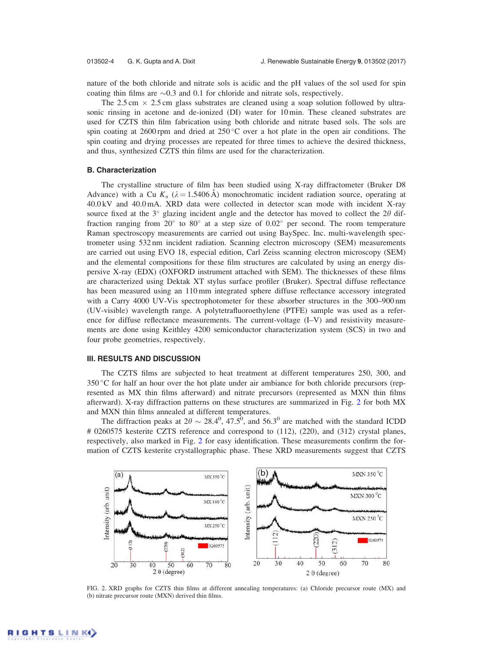nature of the both chloride and nitrate sols is acidic and the pH values of the sol used for spin coating thin films are  $\sim 0.3$  and 0.1 for chloride and nitrate sols, respectively.

The 2.5 cm  $\times$  2.5 cm glass substrates are cleaned using a soap solution followed by ultrasonic rinsing in acetone and de-ionized (DI) water for 10 min. These cleaned substrates are used for CZTS thin film fabrication using both chloride and nitrate based sols. The sols are spin coating at 2600 rpm and dried at  $250^{\circ}$ C over a hot plate in the open air conditions. The spin coating and drying processes are repeated for three times to achieve the desired thickness, and thus, synthesized CZTS thin films are used for the characterization.

### B. Characterization

The crystalline structure of film has been studied using X-ray diffractometer (Bruker D8 Advance) with a Cu  $K_{\alpha}$  ( $\lambda = 1.5406 \text{ Å}$ ) monochromatic incident radiation source, operating at 40.0 kV and 40.0 mA. XRD data were collected in detector scan mode with incident X-ray source fixed at the  $3^\circ$  glazing incident angle and the detector has moved to collect the 2 $\theta$  diffraction ranging from  $20^{\circ}$  to  $80^{\circ}$  at a step size of  $0.02^{\circ}$  per second. The room temperature Raman spectroscopy measurements are carried out using BaySpec. Inc. multi-wavelength spectrometer using 532 nm incident radiation. Scanning electron microscopy (SEM) measurements are carried out using EVO 18, especial edition, Carl Zeiss scanning electron microscopy (SEM) and the elemental compositions for these film structures are calculated by using an energy dispersive X-ray (EDX) (OXFORD instrument attached with SEM). The thicknesses of these films are characterized using Dektak XT stylus surface profiler (Bruker). Spectral diffuse reflectance has been measured using an 110 mm integrated sphere diffuse reflectance accessory integrated with a Carry 4000 UV-Vis spectrophotometer for these absorber structures in the 300–900 nm (UV-visible) wavelength range. A polytetrafluoroethylene (PTFE) sample was used as a reference for diffuse reflectance measurements. The current-voltage (I–V) and resistivity measurements are done using Keithley 4200 semiconductor characterization system (SCS) in two and four probe geometries, respectively.

## III. RESULTS AND DISCUSSION

The CZTS films are subjected to heat treatment at different temperatures 250, 300, and  $350^{\circ}$ C for half an hour over the hot plate under air ambiance for both chloride precursors (represented as MX thin films afterward) and nitrate precursors (represented as MXN thin films afterward). X-ray diffraction patterns on these structures are summarized in Fig. 2 for both MX and MXN thin films annealed at different temperatures.

The diffraction peaks at  $2\theta \sim 28.4^{\circ}$ , 47.5<sup>0</sup>, and 56.3<sup>0</sup> are matched with the standard ICDD # 0260575 kesterite CZTS reference and correspond to (112), (220), and (312) crystal planes, respectively, also marked in Fig. 2 for easy identification. These measurements confirm the formation of CZTS kesterite crystallographic phase. These XRD measurements suggest that CZTS



FIG. 2. XRD graphs for CZTS thin films at different annealing temperatures: (a) Chloride precursor route (MX) and (b) nitrate precursor route (MXN) derived thin films.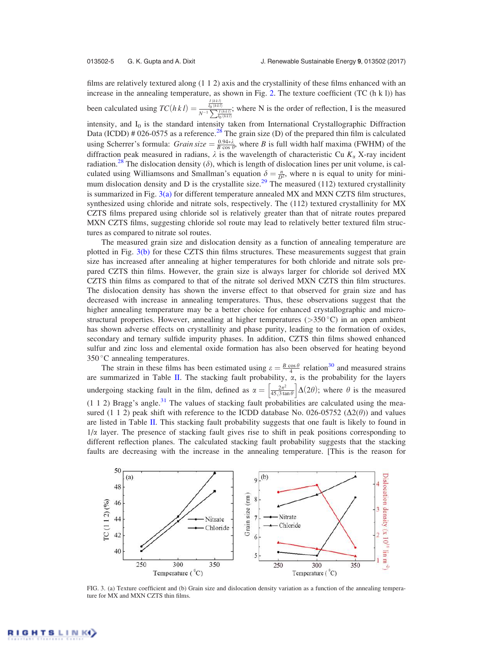films are relatively textured along (1 1 2) axis and the crystallinity of these films enhanced with an increase in the annealing temperature, as shown in Fig. 2. The texture coefficient (TC  $(h k l)$ ) has been calculated using  $TC(hkl) = \frac{\frac{I(hkl)}{I_0(hkl)}}{N^{-1} \sum_{l_0(hkl)} I(hkl)}$ ; where N is the order of reflection, I is the measured intensity, and  $I_0$  is the standard intensity taken from International Crystallographic Diffraction Data (ICDD) # 026-0575 as a reference.<sup>28</sup> The grain size (D) of the prepared thin film is calculated using Scherrer's formula:  $Grain size = \frac{0.94 \times \lambda}{B \cos \theta}$ , where B is full width half maxima (FWHM) of the diffraction peak measured in radians,  $\lambda$  is the wavelength of characteristic Cu  $K_{\alpha}$  X-ray incident radiation.<sup>28</sup> The dislocation density ( $\delta$ ), which is length of dislocation lines per unit volume, is calculated using Williamsons and Smallman's equation  $\delta = \frac{n}{D^2}$ , where n is equal to unity for minimum dislocation density and D is the crystallite size.<sup>29</sup> The measured (112) textured crystallinity is summarized in Fig. 3(a) for different temperature annealed MX and MXN CZTS film structures, synthesized using chloride and nitrate sols, respectively. The (112) textured crystallinity for MX CZTS films prepared using chloride sol is relatively greater than that of nitrate routes prepared MXN CZTS films, suggesting chloride sol route may lead to relatively better textured film structures as compared to nitrate sol routes.

The measured grain size and dislocation density as a function of annealing temperature are plotted in Fig. 3(b) for these CZTS thin films structures. These measurements suggest that grain size has increased after annealing at higher temperatures for both chloride and nitrate sols prepared CZTS thin films. However, the grain size is always larger for chloride sol derived MX CZTS thin films as compared to that of the nitrate sol derived MXN CZTS thin film structures. The dislocation density has shown the inverse effect to that observed for grain size and has decreased with increase in annealing temperatures. Thus, these observations suggest that the higher annealing temperature may be a better choice for enhanced crystallographic and microstructural properties. However, annealing at higher temperatures ( $>350\degree C$ ) in an open ambient has shown adverse effects on crystallinity and phase purity, leading to the formation of oxides, secondary and ternary sulfide impurity phases. In addition, CZTS thin films showed enhanced sulfur and zinc loss and elemental oxide formation has also been observed for heating beyond  $350^{\circ}$ C annealing temperatures.

The strain in these films has been estimated using  $\varepsilon = \frac{B \cos \theta}{4}$  relation<sup>30</sup> and measured strains are summarized in Table II. The stacking fault probability,  $\alpha$ , is the probability for the layers undergoing stacking fault in the film, defined as  $\alpha = \frac{2\pi^2}{45.318}$  $\left[\frac{2\pi^2}{45\sqrt{3}\tan\theta}\right]\Delta(2\theta)$ ; where  $\theta$  is the measured  $(1 1 2)$  Bragg's angle.<sup>31</sup> The values of stacking fault probabilities are calculated using the measured (1 1 2) peak shift with reference to the ICDD database No. 026-05752 ( $\Delta 2(\theta)$ ) and values are listed in Table II. This stacking fault probability suggests that one fault is likely to found in  $1/\alpha$  layer. The presence of stacking fault gives rise to shift in peak positions corresponding to different reflection planes. The calculated stacking fault probability suggests that the stacking faults are decreasing with the increase in the annealing temperature. [This is the reason for



FIG. 3. (a) Texture coefficient and (b) Grain size and dislocation density variation as a function of the annealing temperature for MX and MXN CZTS thin films.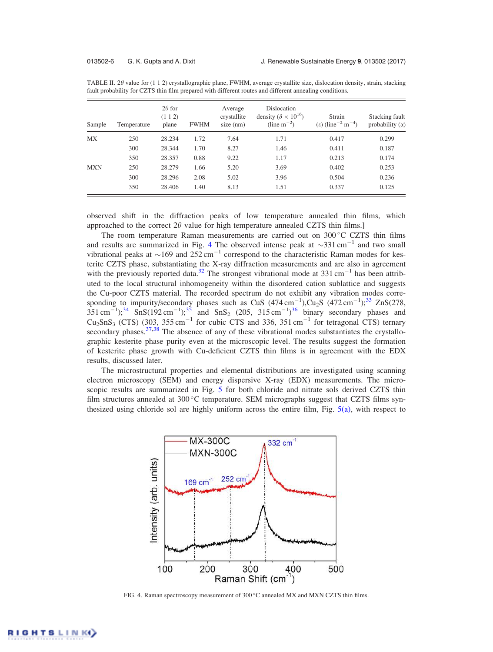| Sample     | Temperature | $2\theta$ for<br>(112)<br>plane | <b>FWHM</b> | Average<br>crystallite<br>$size$ (nm) | Dislocation<br>density ( $\delta \times 10^{16}$ )<br>$(line\ m^{-2})$ | Strain<br>( $\varepsilon$ ) (line <sup>-2</sup> m <sup>-4</sup> ) | Stacking fault<br>probability $(\alpha)$ |
|------------|-------------|---------------------------------|-------------|---------------------------------------|------------------------------------------------------------------------|-------------------------------------------------------------------|------------------------------------------|
| MX         | 250         | 28.234                          | 1.72        | 7.64                                  | 1.71                                                                   | 0.417                                                             | 0.299                                    |
|            | 300         | 28.344                          | 1.70        | 8.27                                  | 1.46                                                                   | 0.411                                                             | 0.187                                    |
|            | 350         | 28.357                          | 0.88        | 9.22                                  | 1.17                                                                   | 0.213                                                             | 0.174                                    |
| <b>MXN</b> | 250         | 28.279                          | 1.66        | 5.20                                  | 3.69                                                                   | 0.402                                                             | 0.253                                    |
|            | 300         | 28.296                          | 2.08        | 5.02                                  | 3.96                                                                   | 0.504                                                             | 0.236                                    |
|            | 350         | 28.406                          | 1.40        | 8.13                                  | 1.51                                                                   | 0.337                                                             | 0.125                                    |

TABLE II.  $2\theta$  value for (1 1 2) crystallographic plane, FWHM, average crystallite size, dislocation density, strain, stacking fault probability for CZTS thin film prepared with different routes and different annealing conditions.

observed shift in the diffraction peaks of low temperature annealed thin films, which approached to the correct  $2\theta$  value for high temperature annealed CZTS thin films.]

The room temperature Raman measurements are carried out on  $300\degree$ C CZTS thin films and results are summarized in Fig. 4 The observed intense peak at  $\sim$ 331 cm<sup>-1</sup> and two small vibrational peaks at  $\sim$ 169 and 252 cm<sup>-1</sup> correspond to the characteristic Raman modes for kesterite CZTS phase, substantiating the X-ray diffraction measurements and are also in agreement with the previously reported data.<sup>32</sup> The strongest vibrational mode at  $331 \text{ cm}^{-1}$  has been attributed to the local structural inhomogeneity within the disordered cation sublattice and suggests the Cu-poor CZTS material. The recorded spectrum do not exhibit any vibration modes corresponding to impurity/secondary phases such as CuS  $(474 \text{ cm}^{-1})$ ,Cu<sub>2</sub>S  $(472 \text{ cm}^{-1})$ ;<sup>33</sup> ZnS(278,  $351 \text{ cm}^{-1}$ ;<sup>34</sup> SnS(192 cm<sup>-1</sup>);<sup>35</sup> and SnS<sub>2</sub> (205, 315 cm<sup>-1</sup>)<sup>36</sup> binary secondary phases and Cu<sub>2</sub>SnS<sub>3</sub> (CTS) (303, 355 cm<sup>-1</sup> for cubic CTS and 336, 351 cm<sup>-1</sup> for tetragonal CTS) ternary secondary phases. $37,38$  The absence of any of these vibrational modes substantiates the crystallographic kesterite phase purity even at the microscopic level. The results suggest the formation of kesterite phase growth with Cu-deficient CZTS thin films is in agreement with the EDX results, discussed later.

The microstructural properties and elemental distributions are investigated using scanning electron microscopy (SEM) and energy dispersive X-ray (EDX) measurements. The microscopic results are summarized in Fig. 5 for both chloride and nitrate sols derived CZTS thin film structures annealed at  $300^{\circ}$ C temperature. SEM micrographs suggest that CZTS films synthesized using chloride sol are highly uniform across the entire film, Fig. 5(a), with respect to



FIG. 4. Raman spectroscopy measurement of  $300^{\circ}$ C annealed MX and MXN CZTS thin films.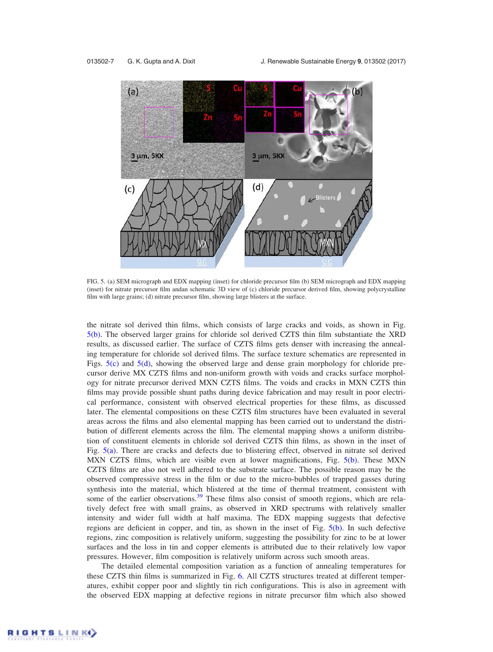

FIG. 5. (a) SEM micrograph and EDX mapping (inset) for chloride precursor film (b) SEM micrograph and EDX mapping (inset) for nitrate precursor film andan schematic 3D view of (c) chloride precursor derived film, showing polycrystalline film with large grains; (d) nitrate precursor film, showing large blisters at the surface.

the nitrate sol derived thin films, which consists of large cracks and voids, as shown in Fig. 5(b). The observed larger grains for chloride sol derived CZTS thin film substantiate the XRD results, as discussed earlier. The surface of CZTS films gets denser with increasing the annealing temperature for chloride sol derived films. The surface texture schematics are represented in Figs. 5(c) and 5(d), showing the observed large and dense grain morphology for chloride precursor derive MX CZTS films and non-uniform growth with voids and cracks surface morphology for nitrate precursor derived MXN CZTS films. The voids and cracks in MXN CZTS thin films may provide possible shunt paths during device fabrication and may result in poor electrical performance, consistent with observed electrical properties for these films, as discussed later. The elemental compositions on these CZTS film structures have been evaluated in several areas across the films and also elemental mapping has been carried out to understand the distribution of different elements across the film. The elemental mapping shows a uniform distribution of constituent elements in chloride sol derived CZTS thin films, as shown in the inset of Fig. 5(a). There are cracks and defects due to blistering effect, observed in nitrate sol derived MXN CZTS films, which are visible even at lower magnifications, Fig. 5(b). These MXN CZTS films are also not well adhered to the substrate surface. The possible reason may be the observed compressive stress in the film or due to the micro-bubbles of trapped gasses during synthesis into the material, which blistered at the time of thermal treatment, consistent with some of the earlier observations.<sup>39</sup> These films also consist of smooth regions, which are relatively defect free with small grains, as observed in XRD spectrums with relatively smaller intensity and wider full width at half maxima. The EDX mapping suggests that defective regions are deficient in copper, and tin, as shown in the inset of Fig. 5(b). In such defective regions, zinc composition is relatively uniform, suggesting the possibility for zinc to be at lower surfaces and the loss in tin and copper elements is attributed due to their relatively low vapor pressures. However, film composition is relatively uniform across such smooth areas.

The detailed elemental composition variation as a function of annealing temperatures for these CZTS thin films is summarized in Fig. 6. All CZTS structures treated at different temperatures, exhibit copper poor and slightly tin rich configurations. This is also in agreement with the observed EDX mapping at defective regions in nitrate precursor film which also showed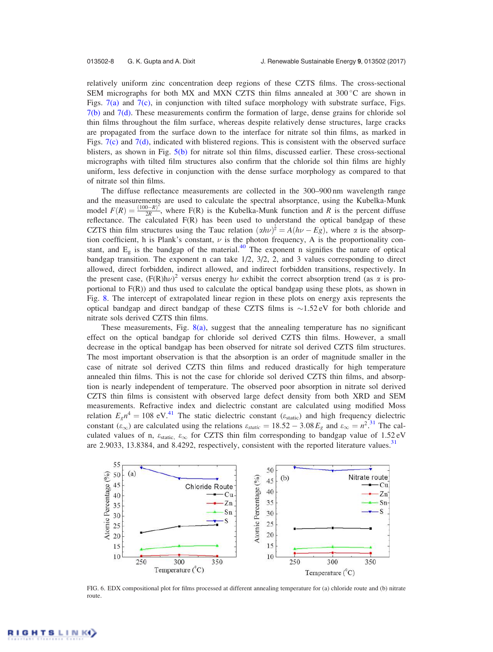relatively uniform zinc concentration deep regions of these CZTS films. The cross-sectional SEM micrographs for both MX and MXN CZTS thin films annealed at  $300^{\circ}$ C are shown in Figs. 7(a) and 7(c), in conjunction with tilted suface morphology with substrate surface, Figs.  $7(b)$  and  $7(d)$ . These measurements confirm the formation of large, dense grains for chloride sol thin films throughout the film surface, whereas despite relatively dense structures, large cracks are propagated from the surface down to the interface for nitrate sol thin films, as marked in Figs. 7(c) and 7(d), indicated with blistered regions. This is consistent with the observed surface blisters, as shown in Fig. 5(b) for nitrate sol thin films, discussed earlier. These cross-sectional micrographs with tilted film structures also confirm that the chloride sol thin films are highly uniform, less defective in conjunction with the dense surface morphology as compared to that of nitrate sol thin films.

The diffuse reflectance measurements are collected in the 300–900 nm wavelength range and the measurements are used to calculate the spectral absorptance, using the Kubelka-Munk model  $F(R) = \frac{(100 - R)^2}{2R}$  $\frac{D-K}{2R}$ , where F(R) is the Kubelka-Munk function and R is the percent diffuse reflectance. The calculated  $F(R)$  has been used to understand the optical bandgap of these CZTS thin film structures using the Tauc relation  $(\alpha h\nu)^{\frac{1}{n}} = A(h\nu - Eg)$ , where  $\alpha$  is the absorption coefficient, h is Plank's constant,  $\nu$  is the photon frequency, A is the proportionality constant, and  $E_g$  is the bandgap of the material.<sup>40</sup> The exponent n signifies the nature of optical bandgap transition. The exponent n can take  $1/2$ ,  $3/2$ ,  $2$ , and 3 values corresponding to direct allowed, direct forbidden, indirect allowed, and indirect forbidden transitions, respectively. In the present case,  $(F(R)h\nu)^2$  versus energy  $h\nu$  exhibit the correct absorption trend (as  $\alpha$  is proportional to F(R)) and thus used to calculate the optical bandgap using these plots, as shown in Fig. 8. The intercept of extrapolated linear region in these plots on energy axis represents the optical bandgap and direct bandgap of these CZTS films is  $\sim$ 1.52 eV for both chloride and nitrate sols derived CZTS thin films.

These measurements, Fig.  $8(a)$ , suggest that the annealing temperature has no significant effect on the optical bandgap for chloride sol derived CZTS thin films. However, a small decrease in the optical bandgap has been observed for nitrate sol derived CZTS film structures. The most important observation is that the absorption is an order of magnitude smaller in the case of nitrate sol derived CZTS thin films and reduced drastically for high temperature annealed thin films. This is not the case for chloride sol derived CZTS thin films, and absorption is nearly independent of temperature. The observed poor absorption in nitrate sol derived CZTS thin films is consistent with observed large defect density from both XRD and SEM measurements. Refractive index and dielectric constant are calculated using modified Moss relation  $E_g n^4 = 108 \text{ eV}^{41}$ . The static dielectric constant ( $\varepsilon_{\text{static}}$ ) and high frequency dielectric constant  $(\epsilon_{\infty})$  are calculated using the relations  $\epsilon_{static} = 18.52 - 3.08 E_g$  and  $\epsilon_{\infty} = n^2$ .<sup>31</sup> The calculated values of n,  $\varepsilon_{\text{static}}$ ,  $\varepsilon_{\infty}$  for CZTS thin film corresponding to bandgap value of 1.52 eV are 2.9033, 13.8384, and 8.4292, respectively, consistent with the reported literature values.<sup>31</sup>



FIG. 6. EDX compositional plot for films processed at different annealing temperature for (a) chloride route and (b) nitrate route.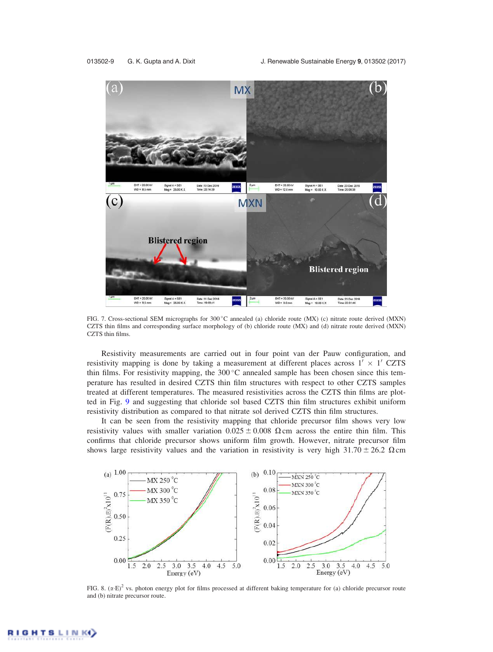

FIG. 7. Cross-sectional SEM micrographs for 300 °C annealed (a) chloride route (MX) (c) nitrate route derived (MXN) CZTS thin films and corresponding surface morphology of (b) chloride route (MX) and (d) nitrate route derived (MXN) CZTS thin films.

Resistivity measurements are carried out in four point van der Pauw configuration, and resistivity mapping is done by taking a measurement at different places across  $1' \times 1'$  CZTS thin films. For resistivity mapping, the  $300^{\circ}$ C annealed sample has been chosen since this temperature has resulted in desired CZTS thin film structures with respect to other CZTS samples treated at different temperatures. The measured resistivities across the CZTS thin films are plotted in Fig. 9 and suggesting that chloride sol based CZTS thin film structures exhibit uniform resistivity distribution as compared to that nitrate sol derived CZTS thin film structures.

It can be seen from the resistivity mapping that chloride precursor film shows very low resistivity values with smaller variation  $0.025 \pm 0.008$   $\Omega$  cm across the entire thin film. This confirms that chloride precursor shows uniform film growth. However, nitrate precursor film shows large resistivity values and the variation in resistivity is very high 31.70  $\pm$  26.2  $\Omega$  cm



FIG. 8.  $(x \cdot E)^2$  vs. photon energy plot for films processed at different baking temperature for (a) chloride precursor route and (b) nitrate precursor route.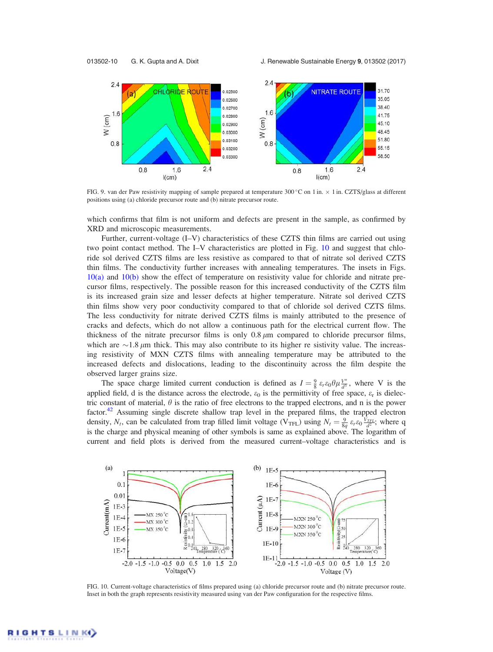013502-10 G. K. Gupta and A. Dixit J. Renewable Sustainable Energy 9, 013502 (2017)



FIG. 9. van der Paw resistivity mapping of sample prepared at temperature 300 °C on 1 in.  $\times$  1 in. CZTS/glass at different positions using (a) chloride precursor route and (b) nitrate precursor route.

which confirms that film is not uniform and defects are present in the sample, as confirmed by XRD and microscopic measurements.

Further, current-voltage (I–V) characteristics of these CZTS thin films are carried out using two point contact method. The I–V characteristics are plotted in Fig. 10 and suggest that chloride sol derived CZTS films are less resistive as compared to that of nitrate sol derived CZTS thin films. The conductivity further increases with annealing temperatures. The insets in Figs. 10(a) and 10(b) show the effect of temperature on resistivity value for chloride and nitrate precursor films, respectively. The possible reason for this increased conductivity of the CZTS film is its increased grain size and lesser defects at higher temperature. Nitrate sol derived CZTS thin films show very poor conductivity compared to that of chloride sol derived CZTS films. The less conductivity for nitrate derived CZTS films is mainly attributed to the presence of cracks and defects, which do not allow a continuous path for the electrical current flow. The thickness of the nitrate precursor films is only  $0.8 \mu m$  compared to chloride precursor films, which are  $\sim$  1.8  $\mu$ m thick. This may also contribute to its higher re sistivity value. The increasing resistivity of MXN CZTS films with annealing temperature may be attributed to the increased defects and dislocations, leading to the discontinuity across the film despite the observed larger grains size.

The space charge limited current conduction is defined as  $I = \frac{9}{8} \varepsilon_r \varepsilon_0 \theta_\mu \frac{V^n}{d^3}$  $\frac{V^n}{d^3}$ , where V is the applied field, d is the distance across the electrode,  $\varepsilon_0$  is the permittivity of free space,  $\varepsilon_r$  is dielectric constant of material,  $\theta$  is the ratio of free electrons to the trapped electrons, and n is the power factor.<sup>42</sup> Assuming single discrete shallow trap level in the prepared films, the trapped electron density,  $N_t$ , can be calculated from trap filled limit voltage (V<sub>TFL</sub>) using  $N_t = \frac{9}{8q} \varepsilon_r \varepsilon_0 \frac{V_{TFL}}{d^2}$ ; where q is the charge and physical meaning of other symbols is same as explained above. The logarithm of current and field plots is derived from the measured current–voltage characteristics and is



FIG. 10. Current-voltage characteristics of films prepared using (a) chloride precursor route and (b) nitrate precursor route. Inset in both the graph represents resistivity measured using van der Paw configuration for the respective films.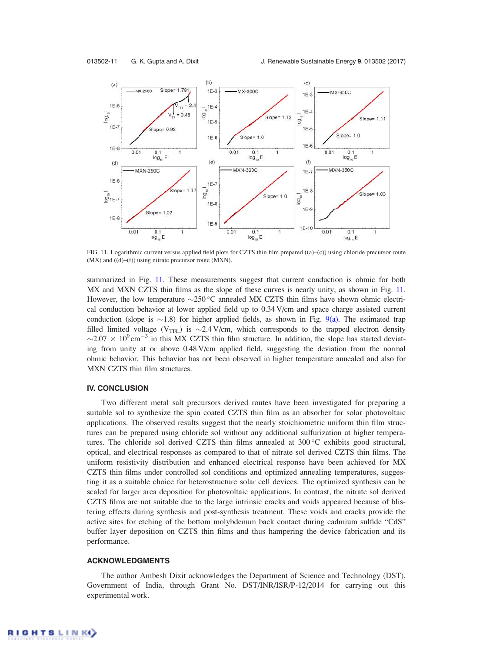

FIG. 11. Logarithmic current versus applied field plots for CZTS thin film prepared ((a)–(c)) using chloride precursor route  $(MX)$  and  $((d)–(f))$  using nitrate precursor route  $(MXN)$ .

summarized in Fig. 11. These measurements suggest that current conduction is ohmic for both MX and MXN CZTS thin films as the slope of these curves is nearly unity, as shown in Fig. 11. However, the low temperature  $\sim$ 250 °C annealed MX CZTS thin films have shown ohmic electrical conduction behavior at lower applied field up to 0.34 V/cm and space charge assisted current conduction (slope is  $\sim$  1.8) for higher applied fields, as shown in Fig. 9(a). The estimated trap filled limited voltage ( $V_{\text{TFL}}$ ) is  $\sim$ 2.4 V/cm, which corresponds to the trapped electron density  $\sim$ 2.07  $\times$  10<sup>9</sup> cm<sup>-3</sup> in this MX CZTS thin film structure. In addition, the slope has started deviating from unity at or above 0.48 V/cm applied field, suggesting the deviation from the normal ohmic behavior. This behavior has not been observed in higher temperature annealed and also for MXN CZTS thin film structures.

### IV. CONCLUSION

Two different metal salt precursors derived routes have been investigated for preparing a suitable sol to synthesize the spin coated CZTS thin film as an absorber for solar photovoltaic applications. The observed results suggest that the nearly stoichiometric uniform thin film structures can be prepared using chloride sol without any additional sulfurization at higher temperatures. The chloride sol derived CZTS thin films annealed at  $300^{\circ}$ C exhibits good structural, optical, and electrical responses as compared to that of nitrate sol derived CZTS thin films. The uniform resistivity distribution and enhanced electrical response have been achieved for MX CZTS thin films under controlled sol conditions and optimized annealing temperatures, suggesting it as a suitable choice for heterostructure solar cell devices. The optimized synthesis can be scaled for larger area deposition for photovoltaic applications. In contrast, the nitrate sol derived CZTS films are not suitable due to the large intrinsic cracks and voids appeared because of blistering effects during synthesis and post-synthesis treatment. These voids and cracks provide the active sites for etching of the bottom molybdenum back contact during cadmium sulfide "CdS" buffer layer deposition on CZTS thin films and thus hampering the device fabrication and its performance.

#### ACKNOWLEDGMENTS

The author Ambesh Dixit acknowledges the Department of Science and Technology (DST), Government of India, through Grant No. DST/INR/ISR/P-12/2014 for carrying out this experimental work.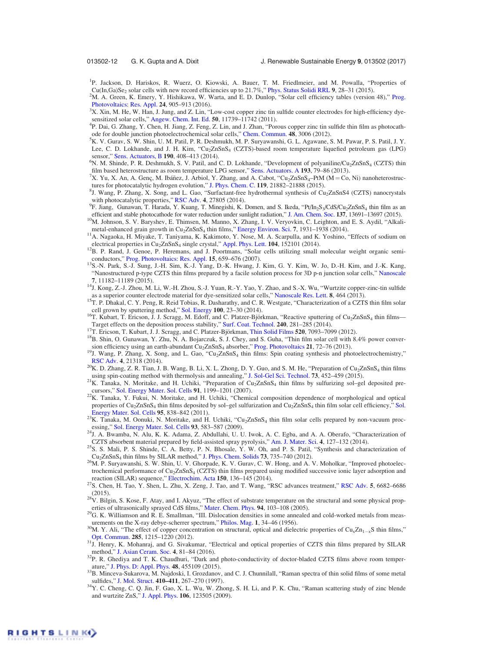<sup>1</sup>P. Jackson, D. Hariskos, R. Wuerz, O. Kiowski, A. Bauer, T. M. Friedlmeier, and M. Powalla, "Properties of Cu(In,Ga)Se<sub>2</sub> solar cells with new record efficiencies up to 21.7%," Phys. Status Solidi RRL 9, 28–31 (2015).

<sup>2</sup>M. A. Green, K. Emery, Y. Hishikawa, W. Warta, and E. D. Dunlop, "Solar cell efficiency tables (version 48)," Prog. Photovoltaics: Res. Appl. 24, 905–913 (2016).

<sup>3</sup>X. Xin, M. He, W. Han, J. Jung, and Z. Lin, "Low-cost copper zinc tin sulfide counter electrodes for high-efficiency dyesensitized solar cells," Angew. Chem. Int. Ed. 50, 11739–11742 (2011).

4 P. Dai, G. Zhang, Y. Chen, H. Jiang, Z. Feng, Z. Lin, and J. Zhan, "Porous copper zinc tin sulfide thin film as photocathode for double junction photoelectrochemical solar cells," Chem. Commun. 48, 3006 (2012).

- <sup>5</sup>K. V. Gurav, S. W. Shin, U. M. Patil, P. R. Deshmukh, M. P. Suryawanshi, G. L. Agawane, S. M. Pawar, P. S. Patil, J. Y. Lee, C. D. Lokhande, and J. H. Kim, "Cu<sub>2</sub>ZnSnS<sub>4</sub> (CZTS)-based room temperature liquefied petroleum gas (LPG) sensor," Sens. Actuators, B 190, 408-413 (2014).
- <sup>6</sup>N. M. Shinde, P. R. Deshmukh, S. V. Patil, and C. D. Lokhande, "Development of polyaniline/Cu<sub>2</sub>ZnSnS<sub>4</sub> (CZTS) thin film based heterostructure as room temperature LPG sensor," Sens. Actuators. A 193, 79–86 (2013).

<sup>7</sup>X. Yu, X. An, A. Genç, M. Ibáñez, J. Arbiol, Y. Zhang, and A. Cabot, "Cu<sub>2</sub>ZnSnS<sub>4</sub>–PtM (M = Co, Ni) nanoheterostructures for photocatalytic hydrogen evolution," J. Phys. Chem. C. 119, 21882–21888 (2015).

- <sup>8</sup>J. Wang, P. Zhang, X. Song, and L. Gao, "Surfactant-free hydrothermal synthesis of Cu<sub>2</sub>ZnSnS4 (CZTS) nanocrystals with photocatalytic properties," RSC Adv. 4, 27805 (2014).
- ${}^{9}F$ . Jiang, Gunawan, T. Harada, Y. Kuang, T. Minegishi, K. Domen, and S. Ikeda, "Pt/In<sub>2</sub>S<sub>3</sub>/CdS/Cu<sub>2</sub>ZnSnS<sub>4</sub> thin film as an efficient and stable photocathode for water reduction under sunlight radiation," J. Am. Chem. Soc. 137, 13691–13697 (2015).
- 10M. Johnson, S. V. Baryshev, E. Thimsen, M. Manno, X. Zhang, I. V. Veryovkin, C. Leighton, and E. S. Aydil, "Alkalimetal-enhanced grain growth in Cu<sub>2</sub>ZnSnS<sub>4</sub> thin films," Energy Environ. Sci. 7, 1931-1938 (2014).
- <sup>11</sup>A. Nagaoka, H. Miyake, T. Taniyama, K. Kakimoto, Y. Nose, M. A. Scarpulla, and K. Yoshino, "Effects of sodium on electrical properties in Cu<sub>2</sub>ZnSnS<sub>4</sub> single crystal," Appl. Phys. Lett. 104, 152101 (2014).
- <sup>12</sup>B. P. Rand, J. Genoe, P. Heremans, and J. Poortmans, "Solar cells utilizing small molecular weight organic semiconductors," Prog. Photovoltaics: Res. Appl. 15, 659–676 (2007).
- <sup>13</sup>S.-N. Park, S.-J. Sung, J.-H. Sim, K.-J. Yang, D.-K. Hwang, J. Kim, G. Y. Kim, W. Jo, D.-H. Kim, and J.-K. Kang, "Nanostructured p-type CZTS thin films prepared by a facile solution process for 3D p-n junction solar cells," Nanoscale 7, 11182–11189 (2015).
- <sup>14</sup>J. Kong, Z.-J. Zhou, M. Li, W.-H. Zhou, S.-J. Yuan, R.-Y. Yao, Y. Zhao, and S.-X. Wu, "Wurtzite copper-zinc-tin sulfide as a superior counter electrode material for dye-sensitized solar cells," Nanoscale Res. Lett. 8, 464 (2013).
- <sup>15</sup>T. P. Dhakal, C. Y. Peng, R. Reid Tobias, R. Dasharathy, and C. R. Westgate, "Characterization of a CZTS thin film solar cell grown by sputtering method," Sol. Energy 100, 23–30 (2014).
- <sup>16</sup>T. Kubart, T. Ericson, J. J. Scragg, M. Edoff, and C. Platzer-Björkman, "Reactive sputtering of Cu<sub>2</sub>ZnSnS<sub>4</sub> thin films-Target effects on the deposition process stability," Surf. Coat. Technol. 240, 281–285 (2014).
- <sup>17</sup>T. Ericson, T. Kubart, J. J. Scragg, and C. Platzer-Björkman, Thin Solid Films **520**, 7093–7099 (2012).
- <sup>18</sup>B. Shin, O. Gunawan, Y. Zhu, N. A. Bojarczuk, S. J. Chey, and S. Guha, "Thin film solar cell with 8.4% power conversion efficiency using an earth-abundant Cu<sub>2</sub>ZnSnS<sub>4</sub> absorber," Prog. Photovoltaics 21, 72-76 (2013).
- <sup>19</sup>J. Wang, P. Zhang, X. Song, and L. Gao, "Cu<sub>2</sub>ZnSnS<sub>4</sub> thin films: Spin coating synthesis and photoelectrochemistry," RSC Adv. 4, 21318 (2014).
- $^{20}$ K. D. Zhang, Z. R. Tian, J. B. Wang, B. Li, X. L. Zhong, D. Y. Guo, and S. M. He, "Preparation of Cu<sub>2</sub>ZnSnS<sub>4</sub> thin films using spin-coating method with thermolysis and annealing," J. Sol-Gel Sci. Technol. 73, 452–459 (2015).
- $^{21}K$ . Tanaka, N. Moritake, and H. Uchiki, "Preparation of Cu<sub>2</sub>ZnSnS<sub>4</sub> thin films by sulfurizing sol-gel deposited precursors," Sol. Energy Mater. Sol. Cells 91, 1199–1201 (2007).
- <sup>22</sup>K. Tanaka, Y. Fukui, N. Moritake, and H. Uchiki, "Chemical composition dependence of morphological and optical properties of Cu<sub>2</sub>ZnSnS<sub>4</sub> thin films deposited by sol–gel sulfurization and Cu<sub>2</sub>ZnSnS<sub>4</sub> thin film solar cell efficiency," Sol. Energy Mater. Sol. Cells 95, 838-842 (2011).
- $^{23}$ K. Tanaka, M. Oonuki, N. Moritake, and H. Uchiki, "Cu<sub>2</sub>ZnSnS<sub>4</sub> thin film solar cells prepared by non-vacuum processing," Sol. Energy Mater. Sol. Cells 93, 583–587 (2009).
- <sup>24</sup>J. A. Bwamba, N. Alu, K. K. Adama, Z. Abdullahi, U. U. Iwok, A. C. Egba, and A. A. Oberafo, "Characterization of CZTS absorbent material prepared by field-assisted spray pyrolysis," Am. J. Mater. Sci. 4, 127–132 (2014).
- <sup>25</sup>S. S. Mali, P. S. Shinde, C. A. Betty, P. N. Bhosale, Y. W. Oh, and P. S. Patil, "Synthesis and characterization of Cu2ZnSnS<sup>4</sup> thin films by SILAR method," J. Phys. Chem. Solids 73, 735–740 (2012).
- <sup>26</sup>M. P. Suryawanshi, S. W. Shin, U. V. Ghorpade, K. V. Gurav, C. W. Hong, and A. V. Moholkar, "Improved photoelectrochemical performance of Cu2ZnSnS<sup>4</sup> (CZTS) thin films prepared using modified successive ionic layer adsorption and reaction (SILAR) sequence," Electrochim. Acta 150, 136–145 (2014).
- <sup>27</sup>S. Chen, H. Tao, Y. Shen, L. Zhu, X. Zeng, J. Tao, and T. Wang, "RSC advances treatment," RSC Adv. 5, 6682–6686 (2015).
- <sup>28</sup>V. Bilgin, S. Kose, F. Atay, and I. Akyuz, "The effect of substrate temperature on the structural and some physical properties of ultrasonically sprayed CdS films," Mater. Chem. Phys. 94, 103–108 (2005).
- <sup>29</sup>G. K. Williamson and R. E. Smallman, "III. Dislocation densities in some annealed and cold-worked metals from measurements on the X-ray debye-scherrer spectrum," Philos. Mag. 1, 34-46 (1956).
- <sup>30</sup>M. Y. Ali, "The effect of copper concentration on structural, optical and dielectric properties of Cu<sub>x</sub>Zn<sub>1-x</sub>S thin films," Opt. Commun. 285, 1215–1220 (2012).
- <sup>31</sup>J. Henry, K. Mohanraj, and G. Sivakumar, "Electrical and optical properties of CZTS thin films prepared by SILAR method," J. Asian Ceram. Soc. 4, 81–84 (2016).
- <sup>32</sup>P. R. Ghediya and T. K. Chaudhuri, "Dark and photo-conductivity of doctor-bladed CZTS films above room temperature," J. Phys. D: Appl. Phys. 48, 455109 (2015).
- <sup>33</sup>B. Minceva-Sukarova, M. Najdoski, I. Grozdanov, and C. J. Chunnilall, "Raman spectra of thin solid films of some metal sulfides," J. Mol. Struct. 410–411, 267–270 (1997).
- <sup>34</sup>Y. C. Cheng, C. Q. Jin, F. Gao, X. L. Wu, W. Zhong, S. H. Li, and P. K. Chu, "Raman scattering study of zinc blende and wurtzite ZnS," J. Appl. Phys. 106, 123505 (2009).